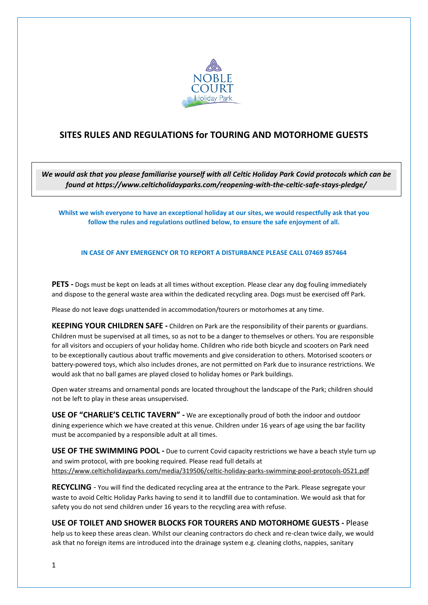

## **SITES RULES AND REGULATIONS for TOURING AND MOTORHOME GUESTS**

*We would ask that you please familiarise yourself with all Celtic Holiday Park Covid protocols which can be found at https://www.celticholidayparks.com/reopening-with-the-celtic-safe-stays-pledge/*

**Whilst we wish everyone to have an exceptional holiday at our sites, we would respectfully ask that you follow the rules and regulations outlined below, to ensure the safe enjoyment of all.**

**IN CASE OF ANY EMERGENCY OR TO REPORT A DISTURBANCE PLEASE CALL 07469 857464**

**PETS -** Dogs must be kept on leads at all times without exception. Please clear any dog fouling immediately and dispose to the general waste area within the dedicated recycling area. Dogs must be exercised off Park.

Please do not leave dogs unattended in accommodation/tourers or motorhomes at any time.

**KEEPING YOUR CHILDREN SAFE -** Children on Park are the responsibility of their parents or guardians. Children must be supervised at all times, so as not to be a danger to themselves or others. You are responsible for all visitors and occupiers of your holiday home. Children who ride both bicycle and scooters on Park need to be exceptionally cautious about traffic movements and give consideration to others. Motorised scooters or battery-powered toys, which also includes drones, are not permitted on Park due to insurance restrictions. We would ask that no ball games are played closed to holiday homes or Park buildings.

Open water streams and ornamental ponds are located throughout the landscape of the Park; children should not be left to play in these areas unsupervised.

**USE OF "CHARLIE'S CELTIC TAVERN" -** We are exceptionally proud of both the indoor and outdoor dining experience which we have created at this venue. Children under 16 years of age using the bar facility must be accompanied by a responsible adult at all times.

**USE OF THE SWIMMING POOL -** Due to current Covid capacity restrictions we have a beach style turn up and swim protocol, with pre booking required. Please read full details at <https://www.celticholidayparks.com/media/319506/celtic-holiday-parks-swimming-pool-protocols-0521.pdf>

**RECYCLING** - You will find the dedicated recycling area at the entrance to the Park. Please segregate your waste to avoid Celtic Holiday Parks having to send it to landfill due to contamination. We would ask that for safety you do not send children under 16 years to the recycling area with refuse.

## **USE OF TOILET AND SHOWER BLOCKS FOR TOURERS AND MOTORHOME GUESTS -** Please

help us to keep these areas clean. Whilst our cleaning contractors do check and re-clean twice daily, we would ask that no foreign items are introduced into the drainage system e.g. cleaning cloths, nappies, sanitary